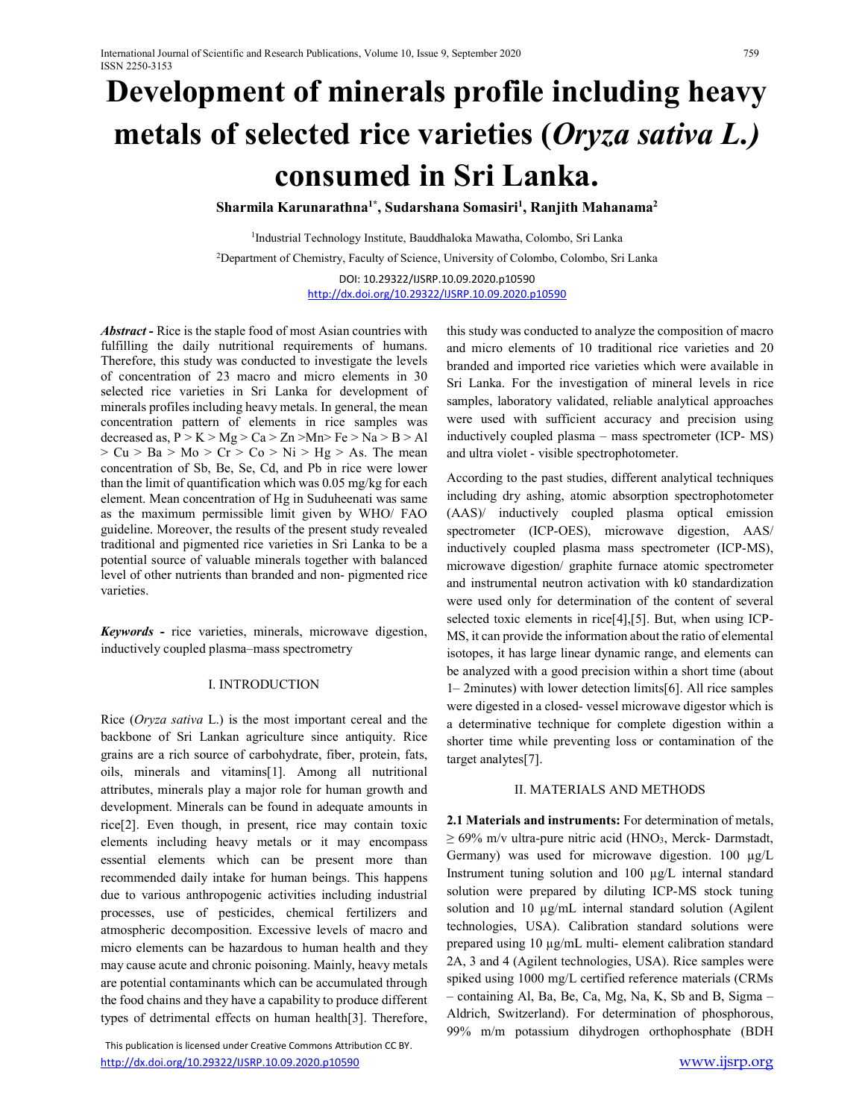# **Development of minerals profile including heavy metals of selected rice varieties (***Oryza sativa L.)* **consumed in Sri Lanka.**

**Sharmila Karunarathna1\*, Sudarshana Somasiri1 , Ranjith Mahanama2**

1Industrial Technology Institute, Bauddhaloka Mawatha, Colombo, Sri Lanka 2Department of Chemistry, Faculty of Science, University of Colombo, Colombo, Sri Lanka DOI: 10.29322/IJSRP.10.09.2020.p10590 http://dx.doi.org/10.29322/IJSRP.10.09.2020.p10590

*Abstract -* Rice is the staple food of most Asian countries with fulfilling the daily nutritional requirements of humans. Therefore, this study was conducted to investigate the levels of concentration of 23 macro and micro elements in 30 selected rice varieties in Sri Lanka for development of minerals profiles including heavy metals. In general, the mean concentration pattern of elements in rice samples was decreased as,  $P > K > Mg > Ca > Zn > Mn > Fe > Na > B > Al$  $> Cu > Ba > Mo > Cr > Co > Ni > Hg > As.$  The mean concentration of Sb, Be, Se, Cd, and Pb in rice were lower than the limit of quantification which was 0.05 mg/kg for each element. Mean concentration of Hg in Suduheenati was same as the maximum permissible limit given by WHO/ FAO guideline. Moreover, the results of the present study revealed traditional and pigmented rice varieties in Sri Lanka to be a potential source of valuable minerals together with balanced level of other nutrients than branded and non- pigmented rice varieties.

*Keywords* **-** rice varieties, minerals, microwave digestion, inductively coupled plasma–mass spectrometry

## I. INTRODUCTION

Rice (*Oryza sativa* L.) is the most important cereal and the backbone of Sri Lankan agriculture since antiquity. Rice grains are a rich source of carbohydrate, fiber, protein, fats, oils, minerals and vitamins[1]. Among all nutritional attributes, minerals play a major role for human growth and development. Minerals can be found in adequate amounts in rice[2]. Even though, in present, rice may contain toxic elements including heavy metals or it may encompass essential elements which can be present more than recommended daily intake for human beings. This happens due to various anthropogenic activities including industrial processes, use of pesticides, chemical fertilizers and atmospheric decomposition. Excessive levels of macro and micro elements can be hazardous to human health and they may cause acute and chronic poisoning. Mainly, heavy metals are potential contaminants which can be accumulated through the food chains and they have a capability to produce different types of detrimental effects on human health[3]. Therefore,

 This publication is licensed under Creative Commons Attribution CC BY. http://dx.doi.org/10.29322/IJSRP.10.09.2020.p10590 www.ijsrp.org

this study was conducted to analyze the composition of macro and micro elements of 10 traditional rice varieties and 20 branded and imported rice varieties which were available in Sri Lanka. For the investigation of mineral levels in rice samples, laboratory validated, reliable analytical approaches were used with sufficient accuracy and precision using inductively coupled plasma – mass spectrometer (ICP- MS) and ultra violet - visible spectrophotometer.

According to the past studies, different analytical techniques including dry ashing, atomic absorption spectrophotometer (AAS)/ inductively coupled plasma optical emission spectrometer (ICP-OES), microwave digestion, AAS/ inductively coupled plasma mass spectrometer (ICP-MS), microwave digestion/ graphite furnace atomic spectrometer and instrumental neutron activation with k0 standardization were used only for determination of the content of several selected toxic elements in rice[4],[5]. But, when using ICP-MS, it can provide the information about the ratio of elemental isotopes, it has large linear dynamic range, and elements can be analyzed with a good precision within a short time (about 1– 2minutes) with lower detection limits[6]. All rice samples were digested in a closed- vessel microwave digestor which is a determinative technique for complete digestion within a shorter time while preventing loss or contamination of the target analytes[7].

#### II. MATERIALS AND METHODS

**2.1 Materials and instruments:** For determination of metals,  $\geq 69\%$  m/v ultra-pure nitric acid (HNO<sub>3</sub>, Merck- Darmstadt, Germany) was used for microwave digestion. 100 µg/L Instrument tuning solution and 100 µg/L internal standard solution were prepared by diluting ICP-MS stock tuning solution and 10  $\mu$ g/mL internal standard solution (Agilent technologies, USA). Calibration standard solutions were prepared using 10 µg/mL multi- element calibration standard 2A, 3 and 4 (Agilent technologies, USA). Rice samples were spiked using 1000 mg/L certified reference materials (CRMs – containing Al, Ba, Be, Ca, Mg, Na, K, Sb and B, Sigma – Aldrich, Switzerland). For determination of phosphorous, 99% m/m potassium dihydrogen orthophosphate (BDH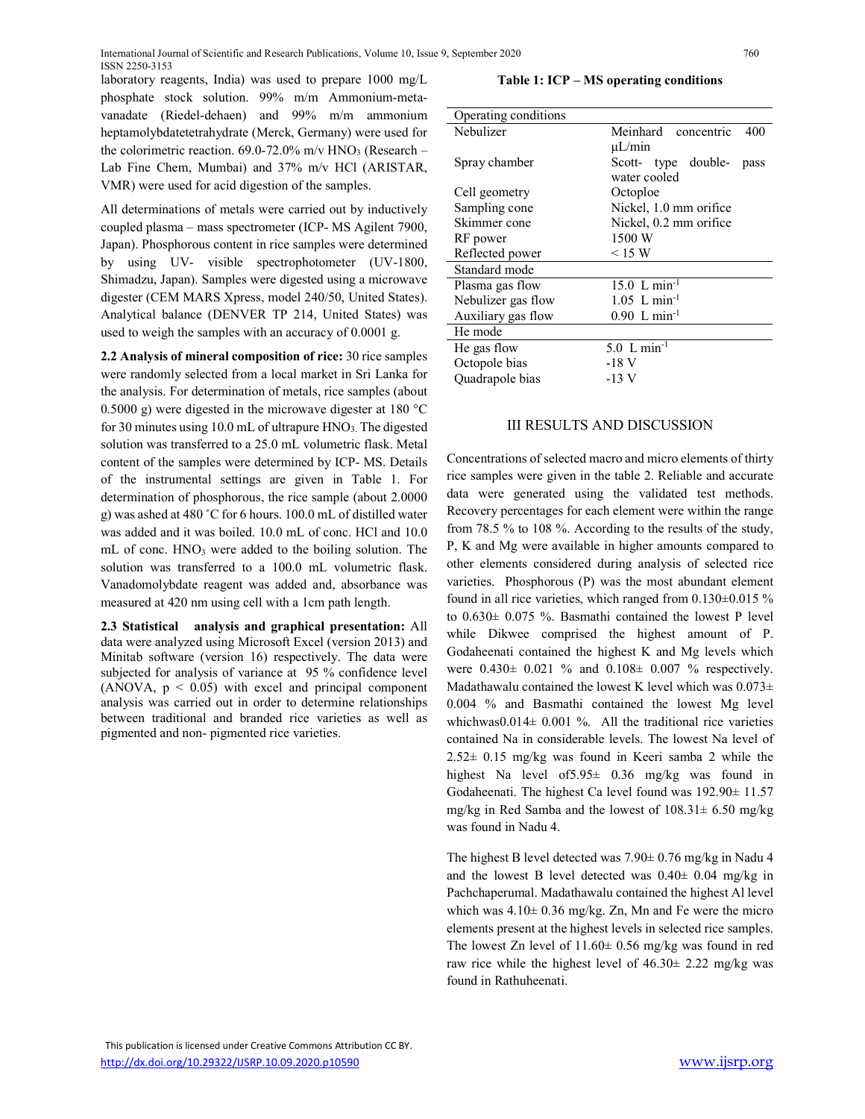laboratory reagents, India) was used to prepare 1000 mg/L phosphate stock solution. 99% m/m Ammonium-metavanadate (Riedel-dehaen) and 99% m/m ammonium heptamolybdatetetrahydrate (Merck, Germany) were used for the colorimetric reaction.  $69.0\n-72.0\%$  m/v HNO<sub>3</sub> (Research – Lab Fine Chem, Mumbai) and 37% m/v HCl (ARISTAR, VMR) were used for acid digestion of the samples.

All determinations of metals were carried out by inductively coupled plasma – mass spectrometer (ICP- MS Agilent 7900, Japan). Phosphorous content in rice samples were determined by using UV- visible spectrophotometer (UV-1800, Shimadzu, Japan). Samples were digested using a microwave digester (CEM MARS Xpress, model 240/50, United States). Analytical balance (DENVER TP 214, United States) was used to weigh the samples with an accuracy of 0.0001 g.

**2.2 Analysis of mineral composition of rice:** 30 rice samples were randomly selected from a local market in Sri Lanka for the analysis. For determination of metals, rice samples (about 0.5000 g) were digested in the microwave digester at 180 °C for 30 minutes using 10.0 mL of ultrapure HNO<sub>3</sub>. The digested solution was transferred to a 25.0 mL volumetric flask. Metal content of the samples were determined by ICP- MS. Details of the instrumental settings are given in Table 1. For determination of phosphorous, the rice sample (about 2.0000 g) was ashed at 480 ˚C for 6 hours. 100.0 mL of distilled water was added and it was boiled. 10.0 mL of conc. HCl and 10.0 mL of conc. HNO3 were added to the boiling solution. The solution was transferred to a 100.0 mL volumetric flask. Vanadomolybdate reagent was added and, absorbance was measured at 420 nm using cell with a 1cm path length.

**2.3 Statistical analysis and graphical presentation:** All data were analyzed using Microsoft Excel (version 2013) and Minitab software (version 16) respectively. The data were subjected for analysis of variance at 95 % confidence level (ANOVA,  $p < 0.05$ ) with excel and principal component analysis was carried out in order to determine relationships between traditional and branded rice varieties as well as pigmented and non- pigmented rice varieties.

**Table 1: ICP – MS operating conditions**

| Operating conditions |                             |  |  |  |  |  |  |  |
|----------------------|-----------------------------|--|--|--|--|--|--|--|
| Nebulizer            | Meinhard concentric<br>400  |  |  |  |  |  |  |  |
|                      | $\mu$ L/min                 |  |  |  |  |  |  |  |
| Spray chamber        | Scott- type double-<br>pass |  |  |  |  |  |  |  |
|                      | water cooled                |  |  |  |  |  |  |  |
| Cell geometry        | Octoploe                    |  |  |  |  |  |  |  |
| Sampling cone        | Nickel, 1.0 mm orifice      |  |  |  |  |  |  |  |
| Skimmer cone         | Nickel, 0.2 mm orifice      |  |  |  |  |  |  |  |
| RF power             | 1500 W                      |  |  |  |  |  |  |  |
| Reflected power      | $\leq$ 15 W                 |  |  |  |  |  |  |  |
| Standard mode        |                             |  |  |  |  |  |  |  |
| Plasma gas flow      | $15.0$ L min <sup>-1</sup>  |  |  |  |  |  |  |  |
| Nebulizer gas flow   | $1.05$ L min <sup>-1</sup>  |  |  |  |  |  |  |  |
| Auxiliary gas flow   | $0.90 \text{ L min}^{-1}$   |  |  |  |  |  |  |  |
| He mode              |                             |  |  |  |  |  |  |  |
| He gas flow          | 5.0 $L \text{ min}^{-1}$    |  |  |  |  |  |  |  |
| Octopole bias        | -18 V                       |  |  |  |  |  |  |  |
| Quadrapole bias      | -13 V                       |  |  |  |  |  |  |  |
|                      |                             |  |  |  |  |  |  |  |

# III RESULTS AND DISCUSSION

Concentrations of selected macro and micro elements of thirty rice samples were given in the table 2. Reliable and accurate data were generated using the validated test methods. Recovery percentages for each element were within the range from 78.5 % to 108 %. According to the results of the study, P, K and Mg were available in higher amounts compared to other elements considered during analysis of selected rice varieties. Phosphorous (P) was the most abundant element found in all rice varieties, which ranged from 0.130±0.015 % to 0.630± 0.075 %. Basmathi contained the lowest P level while Dikwee comprised the highest amount of P. Godaheenati contained the highest K and Mg levels which were 0.430± 0.021 % and 0.108± 0.007 % respectively. Madathawalu contained the lowest K level which was  $0.073\pm$ 0.004 % and Basmathi contained the lowest Mg level whichwas0.014 $\pm$  0.001 %. All the traditional rice varieties contained Na in considerable levels. The lowest Na level of  $2.52 \pm 0.15$  mg/kg was found in Keeri samba 2 while the highest Na level of5.95± 0.36 mg/kg was found in Godaheenati. The highest Ca level found was 192.90± 11.57 mg/kg in Red Samba and the lowest of 108.31± 6.50 mg/kg was found in Nadu 4.

The highest B level detected was 7.90± 0.76 mg/kg in Nadu 4 and the lowest B level detected was  $0.40 \pm 0.04$  mg/kg in Pachchaperumal. Madathawalu contained the highest Al level which was  $4.10 \pm 0.36$  mg/kg. Zn, Mn and Fe were the micro elements present at the highest levels in selected rice samples. The lowest Zn level of 11.60± 0.56 mg/kg was found in red raw rice while the highest level of 46.30± 2.22 mg/kg was found in Rathuheenati.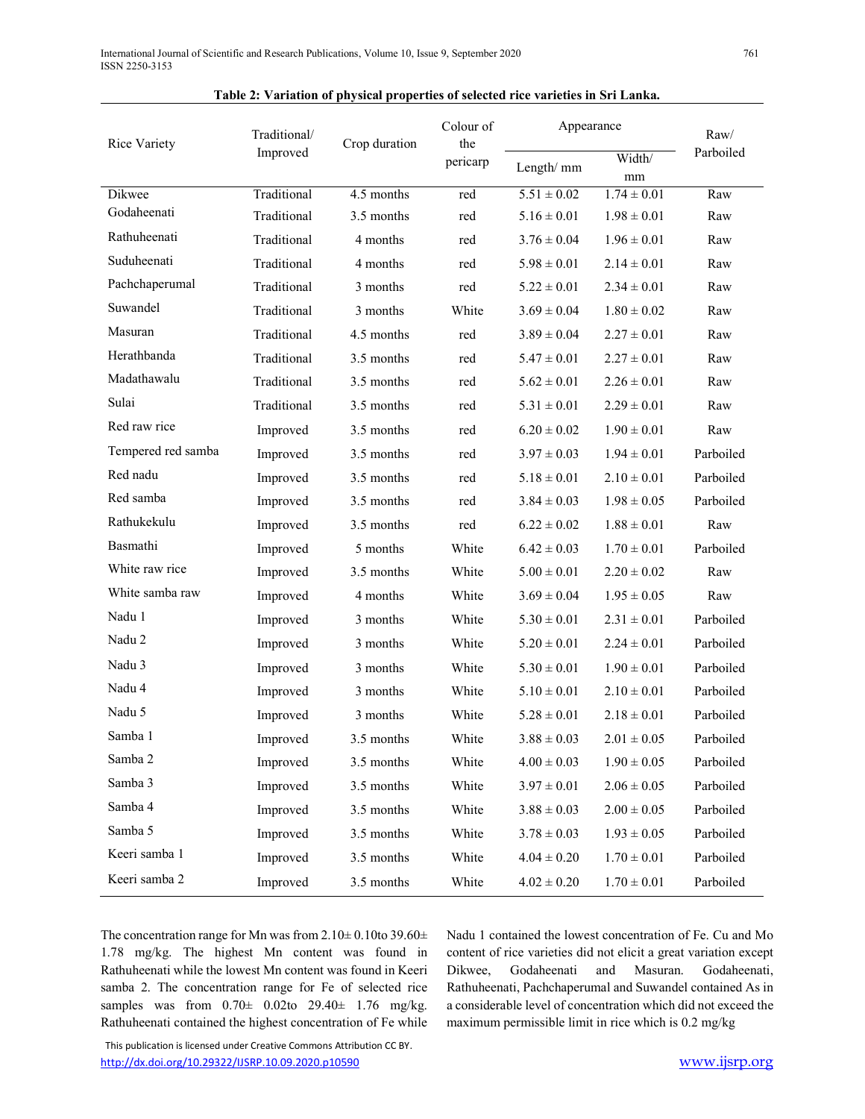| <b>Rice Variety</b> | Traditional/              | Crop duration | Colour of<br>the | Appearance      | Raw/            |           |  |
|---------------------|---------------------------|---------------|------------------|-----------------|-----------------|-----------|--|
|                     | Improved                  |               | pericarp         | Length/ mm      | Width/<br>mm    | Parboiled |  |
| Dikwee              | Traditional<br>4.5 months |               | red              | $5.51 \pm 0.02$ | $1.74 \pm 0.01$ | Raw       |  |
| Godaheenati         | Traditional               | 3.5 months    | red              | $5.16 \pm 0.01$ | $1.98 \pm 0.01$ | Raw       |  |
| Rathuheenati        | Traditional               | 4 months      | red              | $3.76 \pm 0.04$ | $1.96 \pm 0.01$ | Raw       |  |
| Suduheenati         | Traditional               | 4 months      | red              | $5.98 \pm 0.01$ | $2.14 \pm 0.01$ | Raw       |  |
| Pachchaperumal      | Traditional               | 3 months      | red              | $5.22 \pm 0.01$ | $2.34 \pm 0.01$ | Raw       |  |
| Suwandel            | Traditional               | 3 months      | White            | $3.69 \pm 0.04$ | $1.80 \pm 0.02$ | Raw       |  |
| Masuran             | Traditional               | 4.5 months    | red              | $3.89 \pm 0.04$ | $2.27 \pm 0.01$ | Raw       |  |
| Herathbanda         | Traditional               | 3.5 months    | red              | $5.47 \pm 0.01$ | $2.27 \pm 0.01$ | Raw       |  |
| Madathawalu         | Traditional               | 3.5 months    | red              | $5.62 \pm 0.01$ | $2.26 \pm 0.01$ | Raw       |  |
| Sulai               | Traditional               | 3.5 months    | red              | $5.31 \pm 0.01$ | $2.29 \pm 0.01$ | Raw       |  |
| Red raw rice        | Improved                  | 3.5 months    | red              | $6.20 \pm 0.02$ | $1.90 \pm 0.01$ | Raw       |  |
| Tempered red samba  | Improved                  | 3.5 months    | red              | $3.97 \pm 0.03$ | $1.94 \pm 0.01$ | Parboiled |  |
| Red nadu            | 3.5 months<br>Improved    |               | red              | $5.18 \pm 0.01$ | $2.10 \pm 0.01$ | Parboiled |  |
| Red samba           | Improved                  | 3.5 months    | red              | $3.84 \pm 0.03$ | $1.98 \pm 0.05$ | Parboiled |  |
| Rathukekulu         | Improved                  | 3.5 months    | red              | $6.22 \pm 0.02$ | $1.88 \pm 0.01$ | Raw       |  |
| Basmathi            | Improved                  | 5 months      | White            | $6.42 \pm 0.03$ | $1.70 \pm 0.01$ | Parboiled |  |
| White raw rice      | 3.5 months<br>Improved    |               | White            | $5.00 \pm 0.01$ | $2.20 \pm 0.02$ | Raw       |  |
| White samba raw     | Improved                  | 4 months      | White            | $3.69 \pm 0.04$ | $1.95 \pm 0.05$ | Raw       |  |
| Nadu 1              | Improved                  | 3 months      | White            | $5.30 \pm 0.01$ | $2.31 \pm 0.01$ | Parboiled |  |
| Nadu 2              | Improved                  | 3 months      | White            | $5.20 \pm 0.01$ | $2.24 \pm 0.01$ | Parboiled |  |
| Nadu 3              | Improved                  | 3 months      | White            | $5.30 \pm 0.01$ | $1.90 \pm 0.01$ | Parboiled |  |
| Nadu 4              | Improved                  | 3 months      | White            | $5.10 \pm 0.01$ | $2.10 \pm 0.01$ | Parboiled |  |
| Nadu 5              | Improved                  | 3 months      | White            | $5.28 \pm 0.01$ | $2.18 \pm 0.01$ | Parboiled |  |
| Samba 1             | Improved                  | 3.5 months    | White            | $3.88 \pm 0.03$ | $2.01 \pm 0.05$ | Parboiled |  |
| Samba 2             | Improved                  | 3.5 months    | White            | $4.00 \pm 0.03$ | $1.90 \pm 0.05$ | Parboiled |  |
| Samba 3             | Improved                  | 3.5 months    | White            | $3.97 \pm 0.01$ | $2.06 \pm 0.05$ | Parboiled |  |
| Samba 4             | Improved                  | 3.5 months    | White            | $3.88 \pm 0.03$ | $2.00 \pm 0.05$ | Parboiled |  |
| Samba 5             | Improved                  | 3.5 months    | White            | $3.78 \pm 0.03$ | $1.93 \pm 0.05$ | Parboiled |  |
| Keeri samba 1       | Improved                  | 3.5 months    | White            | $4.04 \pm 0.20$ | $1.70 \pm 0.01$ | Parboiled |  |
| Keeri samba 2       | Improved                  | 3.5 months    | White            | $4.02 \pm 0.20$ | $1.70 \pm 0.01$ | Parboiled |  |

The concentration range for Mn was from  $2.10 \pm 0.10$  to  $39.60 \pm 1.00$ 1.78 mg/kg. The highest Mn content was found in Rathuheenati while the lowest Mn content was found in Keeri samba 2. The concentration range for Fe of selected rice samples was from 0.70± 0.02to 29.40± 1.76 mg/kg. Rathuheenati contained the highest concentration of Fe while Nadu 1 contained the lowest concentration of Fe. Cu and Mo content of rice varieties did not elicit a great variation except Dikwee, Godaheenati and Masuran. Godaheenati, Rathuheenati, Pachchaperumal and Suwandel contained As in a considerable level of concentration which did not exceed the maximum permissible limit in rice which is 0.2 mg/kg

 This publication is licensed under Creative Commons Attribution CC BY. http://dx.doi.org/10.29322/IJSRP.10.09.2020.p10590 www.ijsrp.org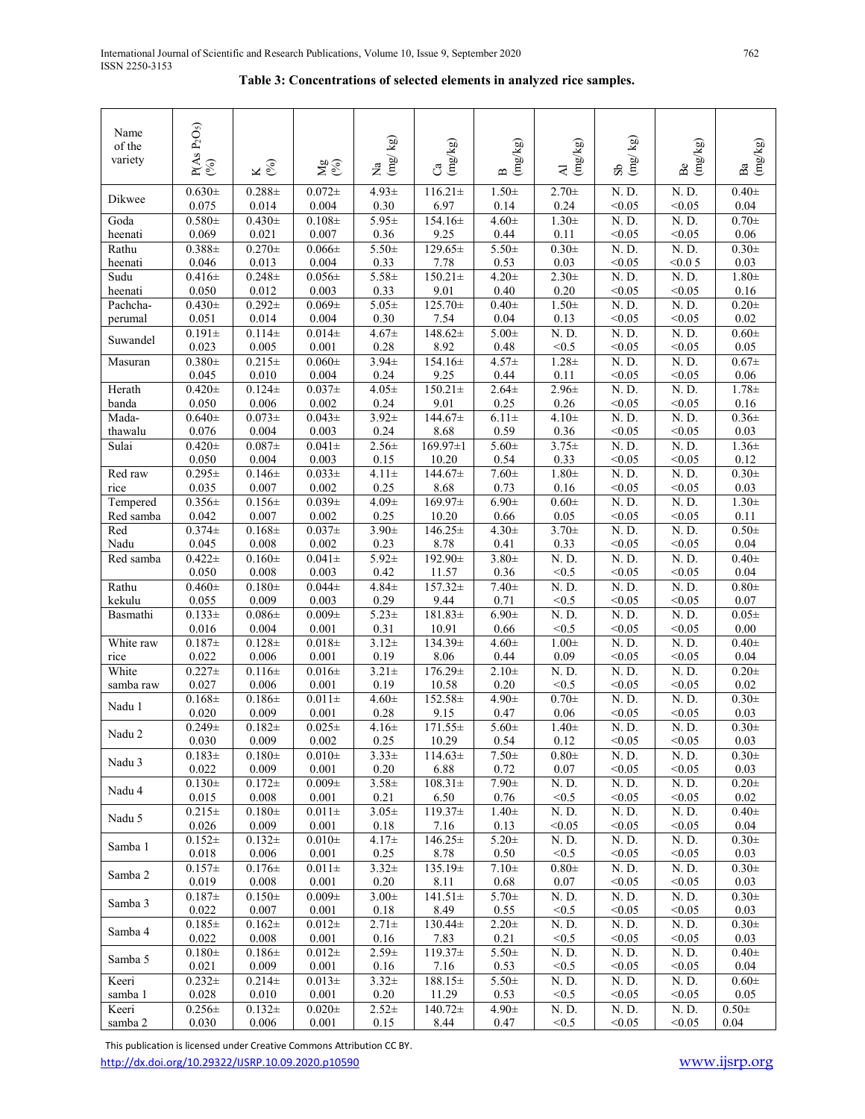# **Table 3: Concentrations of selected elements in analyzed rice samples.**

|           | $P(As P2O5)$<br>(%)  |                     |                     |                                         |                                    |                                                              |                                                 |                                                        |                          |                                                        |
|-----------|----------------------|---------------------|---------------------|-----------------------------------------|------------------------------------|--------------------------------------------------------------|-------------------------------------------------|--------------------------------------------------------|--------------------------|--------------------------------------------------------|
| Name      |                      |                     |                     |                                         |                                    |                                                              |                                                 |                                                        |                          |                                                        |
| of the    |                      |                     |                     |                                         |                                    |                                                              |                                                 |                                                        |                          |                                                        |
| variety   |                      | ४<br>१              | <u>g</u> &          | Na $\frac{\text{Na}}{\text{(mg/\,kg)}}$ | $\left(\mathrm{mg/kg}\right)$<br>ී | $\left( \mathrm{m}g/\mathrm{kg}\right)$<br>$\mathbf{\Omega}$ | $\left(\mathrm{mg/kg}\right)$<br>$\overline{A}$ | $\frac{\mathrm{Sb}}{\mathrm{m}\mathrm{g}/\mathrm{kg}}$ | $(\mathrm{mg/kg})$<br>Be | $\left( \mathrm{m}g/\mathrm{kg}\right)$<br>$_{\rm Ba}$ |
|           |                      |                     |                     |                                         |                                    |                                                              |                                                 |                                                        |                          |                                                        |
| Dikwee    | $0.630 \pm$          | $0.288 \pm$         | $0.072 +$           | $4.93 \pm$                              | $116.21 \pm$                       | $1.50\pm$                                                    | $2.70 +$                                        | N. D.                                                  | N.D.                     | $0.40\pm$                                              |
|           | 0.075                | 0.014               | 0.004               | $0.30\,$                                | 6.97                               | 0.14                                                         | 0.24                                            | < 0.05                                                 | < 0.05                   | 0.04                                                   |
| Goda      | $0.580 \pm$          | $0.430+$            | $0.108 +$           | $5.95 \pm$                              | $154.16 \pm$                       | $4.60 \pm$                                                   | $1.30+$                                         | N.D.                                                   | N.D.                     | $0.70 \pm$                                             |
| heenati   | 0.069                | 0.021               | 0.007               | 0.36                                    | 9.25                               | 0.44                                                         | 0.11                                            | < 0.05                                                 | < 0.05                   | $0.06\,$                                               |
| Rathu     | $0.388 \pm$          | $0.270 \pm$         | $0.066 \pm$         | $5.50+$                                 | $129.65 \pm$                       | $5.50+$                                                      | $0.30 \pm$                                      | N.D.                                                   | N. D.                    | $0.30\pm$                                              |
| heenati   | 0.046                | 0.013               | 0.004               | 0.33                                    | 7.78                               | 0.53                                                         | 0.03                                            | < 0.05                                                 | < 0.05                   | 0.03                                                   |
| Sudu      | $0.416 \pm$          | $0.248 +$           | $0.056 \pm$         | $5.58 \pm$                              | $150.21 \pm$                       | $4.20 +$                                                     | $2.30+$                                         | $\overline{N}$ . $\overline{D}$ .                      | N.D.                     | $1.80\pm$                                              |
| heenati   | 0.050                | 0.012               | 0.003               | 0.33                                    | 9.01                               | 0.40                                                         | $0.20\,$                                        | < 0.05                                                 | < 0.05                   | 0.16                                                   |
| Pachcha-  | $0.430 \pm$          | $0.292 +$           | $0.069 \pm$         | $5.05 \pm$                              | $125.70+$                          | $0.40+$                                                      | $1.50 \pm$                                      | N.D.                                                   | N.D.                     | $0.20 \pm$                                             |
| perumal   | 0.051                | 0.014               | 0.004               | 0.30                                    | 7.54                               | 0.04                                                         | 0.13                                            | < 0.05                                                 | < 0.05                   | 0.02                                                   |
| Suwandel  | $0.191 \pm$<br>0.023 | $0.114\pm$<br>0.005 | $0.014\pm$<br>0.001 | $4.67 +$<br>0.28                        | $148.62+$<br>8.92                  | $5.00 \pm$                                                   | N.D.<br>< 0.5                                   | N.D.                                                   | N.D.                     | $0.60 \pm$<br>0.05                                     |
|           | $0.380 \pm$          | $0.215+$            |                     | $3.94 \pm$                              | 154.16±                            | 0.48<br>$4.57 +$                                             | $1.28 +$                                        | < 0.05<br>$\overline{N}$ . $\overline{D}$ .            | < 0.05<br>N. D.          | $0.67\pm$                                              |
| Masuran   | 0.045                | 0.010               | $0.060\pm$<br>0.004 | 0.24                                    | 9.25                               | 0.44                                                         | $0.11\,$                                        | < 0.05                                                 | < 0.05                   | 0.06                                                   |
| Herath    | $0.420 \pm$          | $0.124 +$           | $0.037\pm$          | $4.05 +$                                | $150.21 \pm$                       | $2.64 \pm$                                                   | $2.96 \pm$                                      | N. D.                                                  | N. D.                    | $1.78 +$                                               |
| banda     | 0.050                | 0.006               | 0.002               | 0.24                                    | 9.01                               | 0.25                                                         | 0.26                                            | < 0.05                                                 | < 0.05                   | 0.16                                                   |
| Mada-     | $0.640 \pm$          | $0.073\pm$          | $0.043\pm$          | $3.92 \pm$                              | $144.67 \pm$                       | $6.11 \pm$                                                   | $4.10+$                                         | N.D.                                                   | N.D.                     | $0.36\pm$                                              |
| thawalu   | 0.076                | 0.004               | 0.003               | 0.24                                    | 8.68                               | 0.59                                                         | 0.36                                            | < 0.05                                                 | < 0.05                   | 0.03                                                   |
| Sulai     | $0.420 \pm$          | $0.087\pm$          | $0.041 \pm$         | $2.56 \pm$                              | $169.97 \pm 1$                     | $5.60 \pm$                                                   | $3.75 \pm$                                      | N. D.                                                  | N. D.                    | $1.36 \pm$                                             |
|           | 0.050                | 0.004               | 0.003               | $0.15\,$                                | 10.20                              | 0.54                                                         | 0.33                                            | < 0.05                                                 | < 0.05                   | 0.12                                                   |
| Red raw   | $0.295 \pm$          | $0.146 \pm$         | $0.033\pm$          | $4.11 \pm$                              | $144.67 \pm$                       | $7.60 \pm$                                                   | $1.80 \pm$                                      | $\overline{N}$ . $\overline{D}$ .                      | N. D.                    | $0.30\pm$                                              |
| rice      | 0.035                | 0.007               | 0.002               | 0.25                                    | 8.68                               | 0.73                                                         | 0.16                                            | < 0.05                                                 | < 0.05                   | $0.03\,$                                               |
| Tempered  | $0.356\pm$           | $0.156\pm$          | $0.039\pm$          | $4.09 \pm$                              | $169.97\pm$                        | $6.90 \pm$                                                   | $0.60 \pm$                                      | N.D.                                                   | N.D.                     | $1.30\pm$                                              |
| Red samba | 0.042                | 0.007               | 0.002               | 0.25                                    | 10.20                              | 0.66                                                         | 0.05                                            | < 0.05                                                 | < 0.05                   | 0.11                                                   |
| Red       | $0.374+$             | $0.168 +$           | $0.037\pm$          | $3.90 \pm$                              | $146.25 \pm$                       | $4.30 \pm$                                                   | $3.70 \pm$                                      | N. D.                                                  | N. D.                    | $0.50\pm$                                              |
| Nadu      | 0.045                | 0.008               | 0.002               | 0.23                                    | 8.78                               | 0.41                                                         | 0.33                                            | < 0.05                                                 | < 0.05                   | $0.04\,$                                               |
| Red samba | $0.422 +$            | $0.160+$            | $0.041 \pm$         | $5.92 \pm$                              | 192.90±                            | $3.80+$                                                      | N. D.                                           | N. D.                                                  | N. D.                    | $0.40\pm$                                              |
|           | 0.050                | 0.008               | 0.003               | 0.42                                    | 11.57                              | 0.36                                                         | < 0.5                                           | < 0.05                                                 | < 0.05                   | 0.04                                                   |
| Rathu     | $0.460 \pm$          | $0.180+$            | $0.044\pm$          | $4.84 \pm$                              | $157.32 \pm$                       | $7.40+$                                                      | N.D.                                            | N.D.                                                   | N.D.                     | $0.80 \pm$                                             |
| kekulu    | 0.055                | 0.009               | 0.003               | 0.29                                    | 9.44                               | 0.71                                                         | < 0.5                                           | < 0.05                                                 | < 0.05                   | $0.07\,$                                               |
| Basmathi  | $0.133 \pm$          | $0.086 \pm$         | $0.009\pm$          | $5.23 \pm$                              | $181.83 \pm$                       | $6.90 \pm$                                                   | N.D.                                            | N.D.                                                   | N. D.                    | $0.05\pm$                                              |
|           | 0.016                | 0.004               | 0.001               | 0.31                                    | 10.91                              | 0.66                                                         | < 0.5                                           | < 0.05                                                 | < 0.05                   | $0.00\,$                                               |
| White raw | $0.187 +$            | $0.128 +$           | $0.018\pm$          | $3.12+$                                 | 134.39±                            | $4.60 \pm$                                                   | $1.00 \pm$                                      | N.D.                                                   | N.D.                     | $0.40 \pm$                                             |
| rice      | 0.022                | 0.006               | 0.001               | 0.19                                    | 8.06                               | 0.44                                                         | 0.09                                            | < 0.05                                                 | < 0.05                   | 0.04                                                   |
| White     | $0.227+$             | $0.116 \pm$         | $0.016\pm$          | $3.21 \pm$                              | 176.29±                            | $2.10+$                                                      | N. D.                                           | $\overline{N}$ . D.                                    | N. D.                    | $0.20 \pm$                                             |
| samba raw | 0.027                | 0.006               | 0.001               | 0.19                                    | 10.58                              | 0.20                                                         | < 0.5                                           | < 0.05                                                 | < 0.05                   | $0.02\,$                                               |
| Nadu 1    | $0.168 \pm$          | $0.186 \pm$         | $0.011\pm$          | $4.60 \pm$                              | $152.58\pm$                        | $4.90 \pm$                                                   | $0.70 \pm$                                      | N.D.                                                   | N.D.                     | $0.30\pm$                                              |
|           | 0.020                | 0.009               | 0.001               | $0.28\,$                                | 9.15                               | 0.47                                                         | $0.06\,$                                        | < 0.05                                                 | < 0.05                   | $0.03\,$                                               |
| Nadu 2    | $0.249 \pm$          | $0.182 +$           | $0.025 \pm$         | $4.16 \pm$                              | $171.55 \pm$                       | $5.60 \pm$                                                   | $1.40 \pm$                                      | N.D.                                                   | N.D.                     | $0.30\pm$                                              |
|           | 0.030                | 0.009               | 0.002               | 0.25                                    | 10.29                              | 0.54                                                         | 0.12                                            | < 0.05                                                 | < 0.05                   | 0.03                                                   |
| Nadu 3    | $0.183\pm$           | $0.180+$            | $0.010 \pm$         | $3.33 \pm$                              | $114.63 \pm$                       | $7.50+$                                                      | $0.80+$                                         | N.D.                                                   | N.D.                     | $0.30+$                                                |
|           | 0.022                | 0.009               | 0.001               | 0.20                                    | 6.88                               | 0.72                                                         | 0.07                                            | < 0.05                                                 | < 0.05                   | 0.03                                                   |
| Nadu 4    | $0.130+$             | $0.172 \pm$         | $0.009 \pm$         | $3.58 \pm$                              | $108.31 \pm$                       | $7.90 \pm$                                                   | N. D.                                           | N.D.                                                   | N. D.                    | $0.20+$                                                |
|           | 0.015                | 0.008               | 0.001               | 0.21                                    | 6.50                               | 0.76                                                         | < 0.5                                           | < 0.05                                                 | < 0.05                   | 0.02                                                   |
| Nadu 5    | $0.215+$             | $0.180+$            | $0.011 \pm$         | $3.05 \pm$                              | 119.37±                            | $1.40 \pm$                                                   | N. D.                                           | N.D.                                                   | N.D.                     | $0.40+$                                                |
|           | 0.026                | 0.009               | 0.001               | 0.18                                    | 7.16                               | 0.13                                                         | < 0.05                                          | < 0.05                                                 | < 0.05                   | 0.04                                                   |
| Samba 1   | $0.152 +$            | $0.132+$            | $0.010\pm$          | $4.17+$                                 | $146.25 \pm$                       | $5.20\pm$                                                    | N. D.                                           | N.D.                                                   | N.D.                     | $0.30\pm$                                              |
|           | 0.018                | 0.006               | 0.001               | 0.25                                    | 8.78                               | 0.50                                                         | < 0.5                                           | < 0.05                                                 | < 0.05                   | 0.03                                                   |
| Samba 2   | $0.157+$             | $0.176\pm$          | $0.011 \pm$         | $3.32 +$                                | $135.19\pm$                        | $7.10+$                                                      | $0.80 \pm$                                      | N.D.                                                   | N.D.                     | $0.30+$                                                |
|           | 0.019                | 0.008               | 0.001               | 0.20                                    | 8.11                               | 0.68                                                         | 0.07                                            | < 0.05                                                 | < 0.05                   | 0.03                                                   |
| Samba 3   | $0.187 +$<br>0.022   | $0.150+$<br>0.007   | $0.009\pm$<br>0.001 | $3.00 \pm$<br>0.18                      | $141.51 \pm$<br>8.49               | $5.70+$<br>0.55                                              | N. D.<br>< 0.5                                  | N. D.<br>< 0.05                                        | N.D.<br>< 0.05           | $0.30+$<br>0.03                                        |
|           |                      | $0.162+$            |                     |                                         |                                    |                                                              |                                                 |                                                        |                          |                                                        |
| Samba 4   | $0.185\pm$<br>0.022  | 0.008               | $0.012\pm$<br>0.001 | $2.71 \pm$<br>0.16                      | 130.44±<br>7.83                    | $2.20 +$<br>0.21                                             | N. D.<br>< 0.5                                  | N.D.<br>< 0.05                                         | N.D.<br>< 0.05           | $0.30\pm$<br>0.03                                      |
|           | $0.180+$             | $0.186\pm$          | $0.012\pm$          | $2.59+$                                 | $119.37\pm$                        | $5.50+$                                                      | N. D.                                           | N.D.                                                   | N.D.                     | $0.40 \pm$                                             |
| Samba 5   | 0.021                | 0.009               | 0.001               | 0.16                                    | 7.16                               | 0.53                                                         | < 0.5                                           | < 0.05                                                 | < 0.05                   | 0.04                                                   |
| Keeri     | $0.232+$             | $0.214 \pm$         | $0.013\pm$          | $3.32+$                                 | 188.15±                            | $5.50 \pm$                                                   | N. D.                                           | N.D.                                                   | N.D.                     | $0.60+$                                                |
| samba 1   | 0.028                | 0.010               | 0.001               | 0.20                                    | 11.29                              | 0.53                                                         | < 0.5                                           | < 0.05                                                 | < 0.05                   | 0.05                                                   |
| Keeri     | $0.256 \pm$          | $0.132+$            | $0.020 \pm$         | $2.52 +$                                | 140.72±                            | $4.90 \pm$                                                   | N. D.                                           | N.D.                                                   | N.D.                     | $0.50+$                                                |
| samba 2   | 0.030                | 0.006               | 0.001               | 0.15                                    | 8.44                               | 0.47                                                         | < 0.5                                           | < 0.05                                                 | < 0.05                   | 0.04                                                   |

 This publication is licensed under Creative Commons Attribution CC BY. http://dx.doi.org/10.29322/IJSRP.10.09.2020.p10590 www.ijsrp.org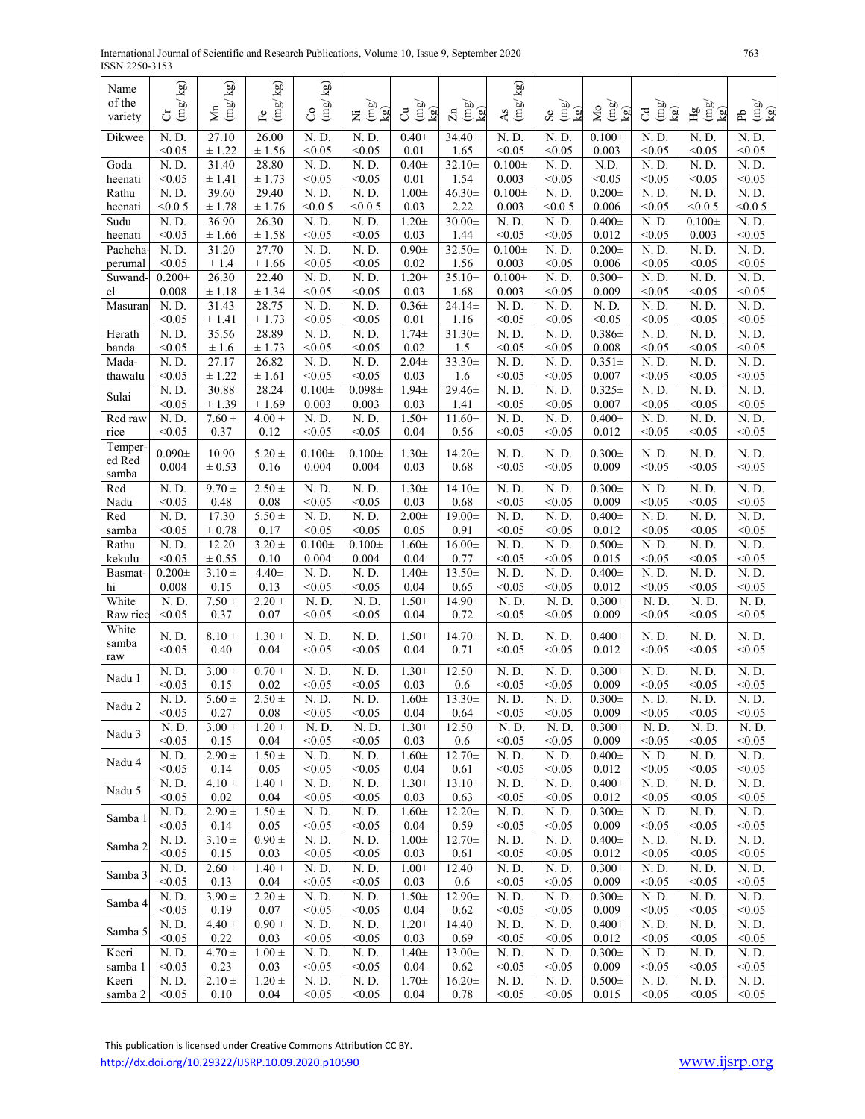| International Journal of Scientific and Research Publications, Volume 10, Issue 9, September 2020 | 763 |
|---------------------------------------------------------------------------------------------------|-----|
| ISSN 2250-3153                                                                                    |     |

| Name               | $\mathbf{k} \mathbf{g}$       | $\mathbf{k} \mathbf{g}$  | kg)                                          | $\mathbf{k}$ g)                             |                                                         |                                                             |                                    | $\mathbb{R}^N$        |                                                                           |                                           |                                                  |                    |                                       |
|--------------------|-------------------------------|--------------------------|----------------------------------------------|---------------------------------------------|---------------------------------------------------------|-------------------------------------------------------------|------------------------------------|-----------------------|---------------------------------------------------------------------------|-------------------------------------------|--------------------------------------------------|--------------------|---------------------------------------|
| of the<br>variety  | $\binom{1}{2}$<br>Ğ           | $\sum_{i=1}^{N}$         | $(\mathrm{mg}/% \mathrm{m})$<br>$\mathbb{H}$ | $\left(\frac{1}{2}\right)$<br>S             | $\frac{\text{Im}\mathbf{g}}{\text{Im} \mathbf{g}}$<br>Ξ | $\begin{pmatrix} \text{mg} \\ \text{kg} \end{pmatrix}$<br>් | $\lim_{x\to 0}$<br>$\mathbf{k}$ g) | $\binom{1}{2}$<br>As  | $\begin{smallmatrix} 6 \\ \text{mm} \\ \text{mm} \end{smallmatrix}$<br>kg | $(\mathrm{mg}/% \mathrm{m})$<br>Δo<br>kg) | $\frac{\text{Im}y}{\text{Im}y}$<br>$\mathcal{C}$ | $Hg \n(mg)$<br>kg) | $\frac{\text{(mg)}}{\text{kg}}$<br>ЪP |
| Dikwee             | N.D.<br>< 0.05                | 27.10<br>± 1.22          | 26.00<br>± 1.56                              | N. D.<br>< 0.05                             | N.D.<br>< 0.05                                          | $0.40+$<br>0.01                                             | $34.40 \pm$<br>1.65                | N.D.<br>< 0.05        | N. D.<br>< 0.05                                                           | $0.100 \pm$<br>0.003                      | N.D.<br>< 0.05                                   | N.D.<br>< 0.05     | N.D.<br>< 0.05                        |
| Goda               | N. D.                         | 31.40                    | 28.80                                        | N.D.                                        | N.D.                                                    | $0.40+$                                                     | $32.10+$                           | $0.100 \pm$           | N.D.                                                                      | N.D.                                      | N. D.                                            | N.D.               | N. D.                                 |
| heenati<br>Rathu   | < 0.05<br>N. D.               | ± 1.41<br>39.60          | ± 1.73<br>29.40                              | < 0.05<br>N. D.                             | < 0.05<br>N.D.                                          | 0.01<br>$1.00 \pm$                                          | 1.54<br>$46.30 \pm$                | 0.003<br>$0.100 \pm$  | < 0.05<br>N.D.                                                            | < 0.05<br>$0.200 \pm$                     | < 0.05<br>N.D.                                   | < 0.05<br>N.D.     | < 0.05<br>N. D.                       |
| heenati            | < 0.05                        | ± 1.78                   | ± 1.76                                       | < 0.05                                      | < 0.05                                                  | 0.03                                                        | 2.22                               | 0.003                 | < 0.05                                                                    | 0.006                                     | < 0.05                                           | < 0.05             | < 0.05                                |
| Sudu               | N. D.                         | 36.90                    | 26.30                                        | N.D.                                        | N.D.                                                    | $1.20 \pm$                                                  | $30.00 \pm$                        | N.D.                  | N.D.                                                                      | $0.400 \pm$                               | N.D.                                             | $0.100 \pm$        | N. D.                                 |
| heenati<br>Pachcha | < 0.05<br>N.D.                | ± 1.66<br>31.20          | ± 1.58<br>27.70                              | < 0.05<br>N.D.                              | < 0.05<br>N.D.                                          | 0.03<br>$0.90 +$                                            | 1.44<br>32.50±                     | < 0.05<br>$0.100 \pm$ | < 0.05<br>N.D.                                                            | 0.012<br>$0.200 \pm$                      | < 0.05<br>N. D.                                  | 0.003<br>N.D.      | < 0.05<br>N. D.                       |
| perumal            | < 0.05                        | ± 1.4                    | ± 1.66                                       | < 0.05                                      | < 0.05                                                  | 0.02                                                        | 1.56                               | 0.003                 | < 0.05                                                                    | 0.006                                     | < 0.05                                           | < 0.05             | < 0.05                                |
| Suwand-            | $0.200 \pm$                   | 26.30                    | 22.40                                        | N. D.                                       | N.D.                                                    | $1.20 \pm$                                                  | $35.10+$                           | $0.100 \pm$           | N.D.                                                                      | $0.300 \pm$                               | N.D.                                             | N.D.               | N. D.                                 |
| el<br>Masuran      | 0.008<br>N.D.                 | ± 1.18<br>31.43          | $\pm$ 1.34<br>28.75                          | < 0.05<br>N.D.                              | < 0.05<br>N.D.                                          | 0.03<br>$0.36\pm$                                           | 1.68<br>$24.14 \pm$                | 0.003<br>N. D.        | < 0.05<br>N.D.                                                            | 0.009<br>N. D.                            | < 0.05<br>N. D.                                  | < 0.05<br>N.D.     | < 0.05<br>N. D.                       |
|                    | < 0.05                        | ± 1.41                   | ± 1.73                                       | < 0.05                                      | < 0.05                                                  | 0.01                                                        | 1.16                               | < 0.05                | < 0.05                                                                    | < 0.05                                    | < 0.05                                           | < 0.05             | < 0.05                                |
| Herath<br>banda    | N. D.<br>< 0.05               | 35.56<br>$\pm$ 1.6       | 28.89                                        | $\overline{N}$ . $\overline{D}$ .<br>< 0.05 | N.D.<br>< 0.05                                          | $1.74+$<br>0.02                                             | $31.30 \pm$<br>1.5                 | N. D.<br>< 0.05       | N.D.<br>< 0.05                                                            | $0.386 \pm$<br>0.008                      | N. D.<br>< 0.05                                  | N.D.<br>< 0.05     | N. D.<br>< 0.05                       |
| Mada-              | N. D.                         | 27.17                    | ± 1.73<br>26.82                              | N. D.                                       | N.D.                                                    | $2.04\pm$                                                   | 33.30±                             | N. D.                 | N.D.                                                                      | $0.351 \pm$                               | N.D.                                             | N.D.               | N. D.                                 |
| thawalu            | < 0.05                        | ± 1.22                   | $\pm 1.61$                                   | < 0.05                                      | < 0.05                                                  | 0.03                                                        | 1.6                                | < 0.05                | < 0.05                                                                    | 0.007                                     | < 0.05                                           | < 0.05             | < 0.05                                |
| Sulai              | N. D.<br>< 0.05               | 30.88<br>± 1.39          | 28.24<br>± 1.69                              | $0.100 \pm$<br>0.003                        | $0.098 \pm$<br>0.003                                    | $1.94 +$<br>0.03                                            | 29.46±<br>1.41                     | N.D.<br>< 0.05        | N.D.<br>< 0.05                                                            | $0.325 \pm$<br>0.007                      | N. D.<br>< 0.05                                  | N.D.<br>< 0.05     | N. D.<br>< 0.05                       |
| Red raw            | N. D.                         | $7.60 \pm$               | $4.00 \pm$                                   | N.D.                                        | N.D.                                                    | $1.50 \pm$                                                  | $11.60 \pm$                        | N. D.                 | $\overline{N}$ . D.                                                       | $0.400 \pm$                               | N. D.                                            | N. D.              | N. D.                                 |
| rice               | < 0.05                        | 0.37                     | 0.12                                         | < 0.05                                      | < 0.05                                                  | 0.04                                                        | 0.56                               | < 0.05                | < 0.05                                                                    | 0.012                                     | < 0.05                                           | < 0.05             | < 0.05                                |
| Temper-<br>ed Red  | $0.090 \pm$                   | 10.90                    | $5.20 \pm$                                   | $0.100 \pm$                                 | $0.100 \pm$                                             | $1.30 \pm$                                                  | $14.20 \pm$                        | N. D.                 | N.D.                                                                      | $0.300\pm$                                | N. D.                                            | N.D.               | N. D.                                 |
| samba              | 0.004                         | $\pm 0.53$               | 0.16                                         | 0.004                                       | 0.004                                                   | 0.03                                                        | 0.68                               | < 0.05                | < 0.05                                                                    | 0.009                                     | < 0.05                                           | < 0.05             | < 0.05                                |
| Red                | N.D.                          | $9.70 \pm$               | $2.50 +$                                     | N. D.                                       | N.D.                                                    | $1.30+$                                                     | $14.10+$                           | N. D.                 | N.D.                                                                      | $0.300 \pm$                               | N.D.                                             | N.D.               | N. D.                                 |
| Nadu<br>Red        | < 0.05<br>$\overline{N}$ . D. | 0.48<br>17.30            | 0.08<br>$5.50 \pm$                           | < 0.05<br>$\overline{N}$ . D.               | < 0.05<br>N.D.                                          | 0.03<br>$2.00 \pm$                                          | 0.68<br>19.00±                     | < 0.05<br>N. D.       | < 0.05<br>N.D.                                                            | 0.009<br>$0.400 \pm$                      | < 0.05<br>$\overline{N}$ . D.                    | < 0.05<br>N.D.     | < 0.05<br>N. D.                       |
| samba              | < 0.05                        | $\pm\,0.78$              | 0.17                                         | < 0.05                                      | < 0.05                                                  | 0.05                                                        | 0.91                               | < 0.05                | < 0.05                                                                    | 0.012                                     | < 0.05                                           | < 0.05             | < 0.05                                |
| Rathu              | N.D.                          | 12.20                    | $3.20 \pm$                                   | $0.100 \pm$                                 | $0.100 \pm$                                             | $1.60 \pm$                                                  | $16.00 \pm$                        | N.D.                  | N.D.                                                                      | $0.500 \pm$                               | N.D.                                             | N.D.               | N. D.                                 |
| kekulu<br>Basmat-  | < 0.05<br>$0.200 \pm$         | $\pm 0.55$<br>$3.10 \pm$ | 0.10<br>$4.40 \pm$                           | 0.004<br>N.D.                               | 0.004<br>N.D.                                           | 0.04<br>$1.40 \pm$                                          | 0.77<br>$13.50 \pm$                | < 0.05<br>N. D.       | < 0.05<br>N.D.                                                            | 0.015<br>$0.400 \pm$                      | < 0.05<br>N. D.                                  | < 0.05<br>N.D.     | < 0.05<br>N. D.                       |
| hi                 | 0.008                         | 0.15                     | 0.13                                         | < 0.05                                      | < 0.05                                                  | 0.04                                                        | 0.65                               | < 0.05                | < 0.05                                                                    | 0.012                                     | < 0.05                                           | < 0.05             | < 0.05                                |
| White<br>Raw rice  | N.D.<br>< 0.05                | $7.50 \pm$<br>0.37       | $2.20 +$<br>0.07                             | N. D.<br>< 0.05                             | N.D.<br>< 0.05                                          | $1.50 \pm$<br>0.04                                          | 14.90±<br>0.72                     | N.D.<br>< 0.05        | N. D.<br>< 0.05                                                           | $0.300 \pm$<br>0.009                      | N.D.<br>< 0.05                                   | N.D.<br>< 0.05     | N.D.<br>< 0.05                        |
| White              |                               |                          |                                              |                                             |                                                         |                                                             |                                    |                       |                                                                           |                                           |                                                  |                    |                                       |
| samba              | N. D.<br>< 0.05               | $8.10 \pm$<br>0.40       | $1.30 \pm$<br>0.04                           | N. D.<br>< 0.05                             | N.D.<br>< 0.05                                          | $1.50 \pm$<br>0.04                                          | $14.70 \pm$<br>0.71                | N. D.<br>< 0.05       | N.D.<br>< 0.05                                                            | $0.400 \pm$<br>0.012                      | N.D.<br>< 0.05                                   | N. D.<br>< 0.05    | N. D.<br>< 0.05                       |
| raw                | N.D.                          | $3.00 \pm$               | $0.70 \pm$                                   | N. D.                                       | N.D.                                                    | $1.30 \pm$                                                  | $12.50+$                           | N. D.                 | N.D.                                                                      | $0.300 \pm$                               | N.D.                                             | N.D.               | N. D.                                 |
| Nadu 1             | < 0.05                        | 0.15                     | 0.02                                         | < 0.05                                      | < 0.05                                                  | 0.03                                                        | 0.6                                | < 0.05                | < 0.05                                                                    | 0.009                                     | < 0.05                                           | < 0.05             | < 0.05                                |
| Nadu 2             | N.D.                          | $5.60 \pm$               | $2.50 \pm$                                   | N.D.                                        | N.D.                                                    | $1.60 \pm$                                                  | $13.30 \pm$                        | N. D.                 | N.D.                                                                      | $0.300 \pm$                               | N. D.                                            | N.D.               | N. D.                                 |
|                    | < 0.05<br>N. D.               | 0.27<br>$3.00 \pm$       | 0.08<br>$1.20 \pm$                           | $0.05$<br>N. D.                             | < 0.05<br>N. D.                                         | 0.04<br>$1.30 \pm$                                          | 0.64<br>$12.50 \pm$                | < 0.05<br>N.D.        | < 0.05<br>N. D.                                                           | 0.009<br>$0.300 \pm$                      | $0.05$<br>N. D.                                  | < 0.05<br>N. D.    | < 0.05<br>N. D.                       |
| Nadu 3             | < 0.05                        | 0.15                     | 0.04                                         | < 0.05                                      | < 0.05                                                  | 0.03                                                        | 0.6                                | < 0.05                | < 0.05                                                                    | 0.009                                     | < 0.05                                           | < 0.05             | < 0.05                                |
| Nadu 4             | $\overline{N}$ . D.<br>< 0.05 | $2.90 \pm$<br>0.14       | $1.50 \pm$<br>0.05                           | N.D.<br>< 0.05                              | N.D.<br>< 0.05                                          | $1.60 \pm$<br>0.04                                          | $12.70 \pm$<br>0.61                | N. D.<br>< 0.05       | N.D.<br>< 0.05                                                            | $0.400 \pm$<br>0.012                      | N. D.<br>< 0.05                                  | N.D.<br>< 0.05     | N. D.<br>< 0.05                       |
|                    | $\overline{N}$ . D.           | $4.10 \pm$               | $1.40 \pm$                                   | $\overline{N}$ . D.                         | N.D.                                                    | $1.30 \pm$                                                  | $13.10+$                           | N. D.                 | N. D.                                                                     | $0.400 \pm$                               | N. D.                                            | N.D.               | $\overline{N}$ . D.                   |
| Nadu 5             | < 0.05                        | 0.02                     | 0.04                                         | < 0.05                                      | < 0.05                                                  | 0.03                                                        | 0.63                               | < 0.05                | < 0.05                                                                    | 0.012                                     | < 0.05                                           | < 0.05             | < 0.05                                |
| Samba 1            | N.D.<br>< 0.05                | $2.90 \pm$<br>0.14       | $1.50 \pm$<br>0.05                           | N. D.<br>< 0.05                             | N.D.<br>< 0.05                                          | $1.60 \pm$<br>0.04                                          | $12.20 \pm$<br>0.59                | N. D.<br>< 0.05       | N.D.<br>< 0.05                                                            | $0.300 \pm$<br>0.009                      | N.D.<br>< 0.05                                   | N.D.<br>< 0.05     | N. D.<br>< 0.05                       |
| Samba 2            | N.D.                          | $3.10 \pm$               | $0.90 \pm$                                   | N.D.                                        | N.D.                                                    | $1.00\pm$                                                   | $12.70 \pm$                        | N. D.                 | N.D.                                                                      | $0.400 \pm$                               | N. D.                                            | N.D.               | N.D.                                  |
|                    | < 0.05                        | 0.15                     | 0.03                                         | < 0.05                                      | < 0.05                                                  | 0.03                                                        | 0.61                               | < 0.05                | < 0.05                                                                    | 0.012                                     | < 0.05                                           | < 0.05             | < 0.05                                |
| Samba 3            | N.D.<br>< 0.05                | $2.60 \pm$<br>0.13       | $1.40 \pm$<br>0.04                           | $\overline{N}$ . D.<br>< 0.05               | N.D.<br>< 0.05                                          | $1.00\pm$<br>0.03                                           | $12.40 \pm$<br>$0.6\,$             | N. D.<br>< 0.05       | N.D.<br>< 0.05                                                            | $0.300 \pm$<br>0.009                      | N. D.<br>< 0.05                                  | N.D.<br>< 0.05     | $\overline{N}$ . D.<br>< 0.05         |
| Samba 4            | N.D.                          | $3.90 \pm$               | $2.20 \pm$                                   | N.D.                                        | N.D.                                                    | $1.50 \pm$                                                  | $12.90 \pm$                        | N. D.                 | N.D.                                                                      | $0.300 \pm$                               | N. D.                                            | N.D.               | N. D.                                 |
|                    | < 0.05                        | 0.19                     | 0.07                                         | < 0.05                                      | < 0.05                                                  | 0.04                                                        | 0.62                               | < 0.05                | < 0.05                                                                    | 0.009                                     | < 0.05                                           | < 0.05             | < 0.05                                |
| Samba 5            | N. D.<br>< 0.05               | $4.40 \pm$<br>0.22       | $0.90 \pm$<br>0.03                           | N.D.<br>< 0.05                              | N.D.<br>< 0.05                                          | $1.20 \pm$<br>0.03                                          | $14.40 \pm$<br>0.69                | N. D.<br>< 0.05       | N.D.<br>< 0.05                                                            | $0.400 \pm$<br>0.012                      | N. D.<br>< 0.05                                  | N.D.<br>< 0.05     | N. D.<br>< 0.05                       |
| Keeri              | $\overline{N}$ . D.           | $4.70 \pm$               | $1.00 \pm$                                   | N. D.                                       | N.D.                                                    | $1.40 \pm$                                                  | 13.00±                             | N. D.                 | N.D.                                                                      | $0.300 \pm$                               | N. D.                                            | N.D.               | N.D.                                  |
| samba 1<br>Keeri   | < 0.05<br>$N.$ $D.$           | 0.23<br>$2.10 \pm$       | 0.03<br>$1.20 \pm$                           | < 0.05<br>N. D.                             | < 0.05<br>N.D.                                          | 0.04<br>$1.70 \pm$                                          | 0.62<br>$16.20 \pm$                | < 0.05<br>N. D.       | < 0.05<br>N.D.                                                            | 0.009<br>$0.500 \pm$                      | < 0.05<br>N. D.                                  | < 0.05             | < 0.05<br>N. D.                       |
| $\mbox{samba}$ 2   | < 0.05                        | 0.10                     | 0.04                                         | < 0.05                                      | < 0.05                                                  | 0.04                                                        | 0.78                               | < 0.05                | < 0.05                                                                    | 0.015                                     | < 0.05                                           | N.D.<br>< 0.05     | < 0.05                                |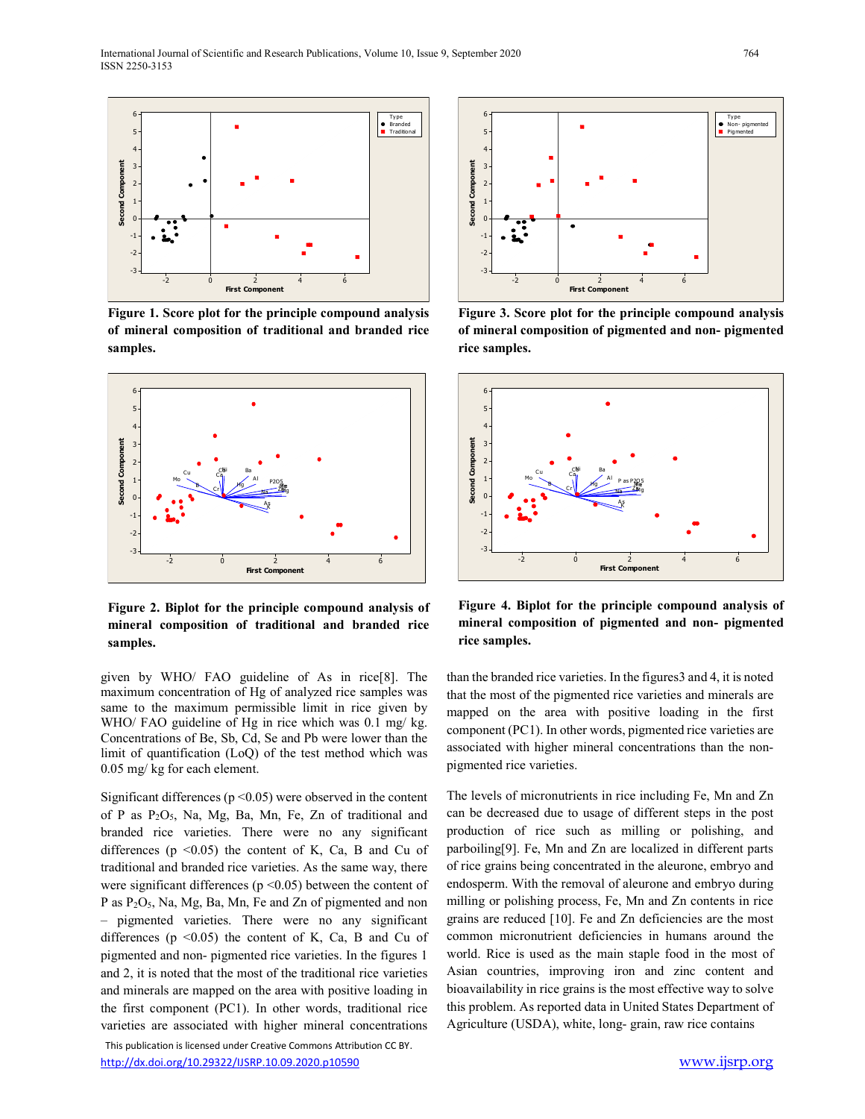

**Figure 1. Score plot for the principle compound analysis of mineral composition of traditional and branded rice samples.**



**Figure 2. Biplot for the principle compound analysis of mineral composition of traditional and branded rice samples.**

given by WHO/ FAO guideline of As in rice[8]. The maximum concentration of Hg of analyzed rice samples was same to the maximum permissible limit in rice given by WHO/ FAO guideline of Hg in rice which was 0.1 mg/ kg. Concentrations of Be, Sb, Cd, Se and Pb were lower than the limit of quantification (LoQ) of the test method which was 0.05 mg/ kg for each element.

Significant differences ( $p \le 0.05$ ) were observed in the content of P as P2O5, Na, Mg, Ba, Mn, Fe, Zn of traditional and branded rice varieties. There were no any significant differences ( $p \le 0.05$ ) the content of K, Ca, B and Cu of traditional and branded rice varieties. As the same way, there were significant differences ( $p \le 0.05$ ) between the content of P as P<sub>2</sub>O<sub>5</sub>, Na, Mg, Ba, Mn, Fe and Zn of pigmented and non – pigmented varieties. There were no any significant differences ( $p \le 0.05$ ) the content of K, Ca, B and Cu of pigmented and non- pigmented rice varieties. In the figures 1 and 2, it is noted that the most of the traditional rice varieties and minerals are mapped on the area with positive loading in the first component (PC1). In other words, traditional rice varieties are associated with higher mineral concentrations

 This publication is licensed under Creative Commons Attribution CC BY. http://dx.doi.org/10.29322/IJSRP.10.09.2020.p10590 www.ijsrp.org



**Figure 3. Score plot for the principle compound analysis of mineral composition of pigmented and non- pigmented rice samples.**



**Figure 4. Biplot for the principle compound analysis of mineral composition of pigmented and non- pigmented rice samples.**

than the branded rice varieties. In the figures3 and 4, it is noted that the most of the pigmented rice varieties and minerals are mapped on the area with positive loading in the first component (PC1). In other words, pigmented rice varieties are associated with higher mineral concentrations than the nonpigmented rice varieties.

The levels of micronutrients in rice including Fe, Mn and Zn can be decreased due to usage of different steps in the post production of rice such as milling or polishing, and parboiling[9]. Fe, Mn and Zn are localized in different parts of rice grains being concentrated in the aleurone, embryo and endosperm. With the removal of aleurone and embryo during milling or polishing process, Fe, Mn and Zn contents in rice grains are reduced [10]. Fe and Zn deficiencies are the most common micronutrient deficiencies in humans around the world. Rice is used as the main staple food in the most of Asian countries, improving iron and zinc content and bioavailability in rice grains is the most effective way to solve this problem. As reported data in United States Department of Agriculture (USDA), white, long- grain, raw rice contains